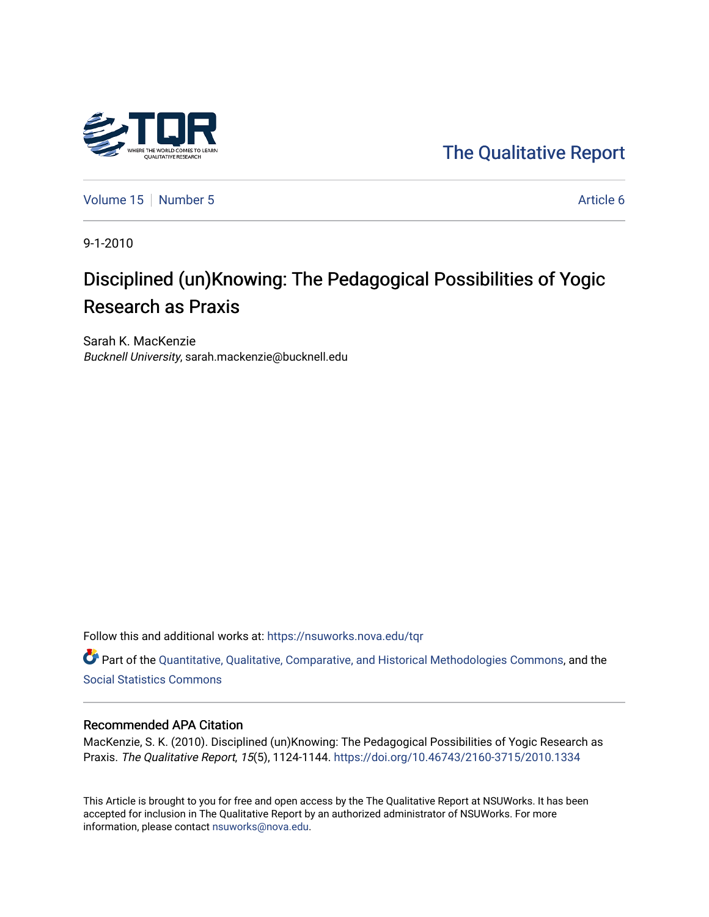

[The Qualitative Report](https://nsuworks.nova.edu/tqr) 

[Volume 15](https://nsuworks.nova.edu/tqr/vol15) [Number 5](https://nsuworks.nova.edu/tqr/vol15/iss5) Article 6

9-1-2010

# Disciplined (un)Knowing: The Pedagogical Possibilities of Yogic Research as Praxis

Sarah K. MacKenzie Bucknell University, sarah.mackenzie@bucknell.edu

Follow this and additional works at: [https://nsuworks.nova.edu/tqr](https://nsuworks.nova.edu/tqr?utm_source=nsuworks.nova.edu%2Ftqr%2Fvol15%2Fiss5%2F6&utm_medium=PDF&utm_campaign=PDFCoverPages) 

Part of the [Quantitative, Qualitative, Comparative, and Historical Methodologies Commons,](http://network.bepress.com/hgg/discipline/423?utm_source=nsuworks.nova.edu%2Ftqr%2Fvol15%2Fiss5%2F6&utm_medium=PDF&utm_campaign=PDFCoverPages) and the [Social Statistics Commons](http://network.bepress.com/hgg/discipline/1275?utm_source=nsuworks.nova.edu%2Ftqr%2Fvol15%2Fiss5%2F6&utm_medium=PDF&utm_campaign=PDFCoverPages) 

#### Recommended APA Citation

MacKenzie, S. K. (2010). Disciplined (un)Knowing: The Pedagogical Possibilities of Yogic Research as Praxis. The Qualitative Report, 15(5), 1124-1144. <https://doi.org/10.46743/2160-3715/2010.1334>

This Article is brought to you for free and open access by the The Qualitative Report at NSUWorks. It has been accepted for inclusion in The Qualitative Report by an authorized administrator of NSUWorks. For more information, please contact [nsuworks@nova.edu.](mailto:nsuworks@nova.edu)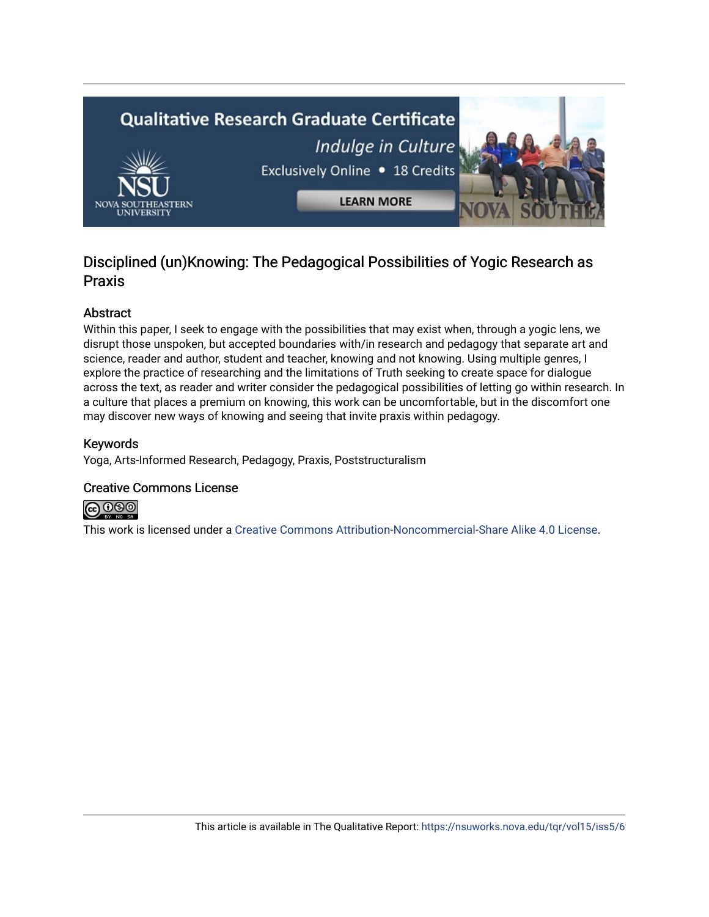

## Disciplined (un)Knowing: The Pedagogical Possibilities of Yogic Research as Praxis

## Abstract

Within this paper, I seek to engage with the possibilities that may exist when, through a yogic lens, we disrupt those unspoken, but accepted boundaries with/in research and pedagogy that separate art and science, reader and author, student and teacher, knowing and not knowing. Using multiple genres, I explore the practice of researching and the limitations of Truth seeking to create space for dialogue across the text, as reader and writer consider the pedagogical possibilities of letting go within research. In a culture that places a premium on knowing, this work can be uncomfortable, but in the discomfort one may discover new ways of knowing and seeing that invite praxis within pedagogy.

## Keywords

Yoga, Arts-Informed Research, Pedagogy, Praxis, Poststructuralism

## Creative Commons License



This work is licensed under a [Creative Commons Attribution-Noncommercial-Share Alike 4.0 License](https://creativecommons.org/licenses/by-nc-sa/4.0/).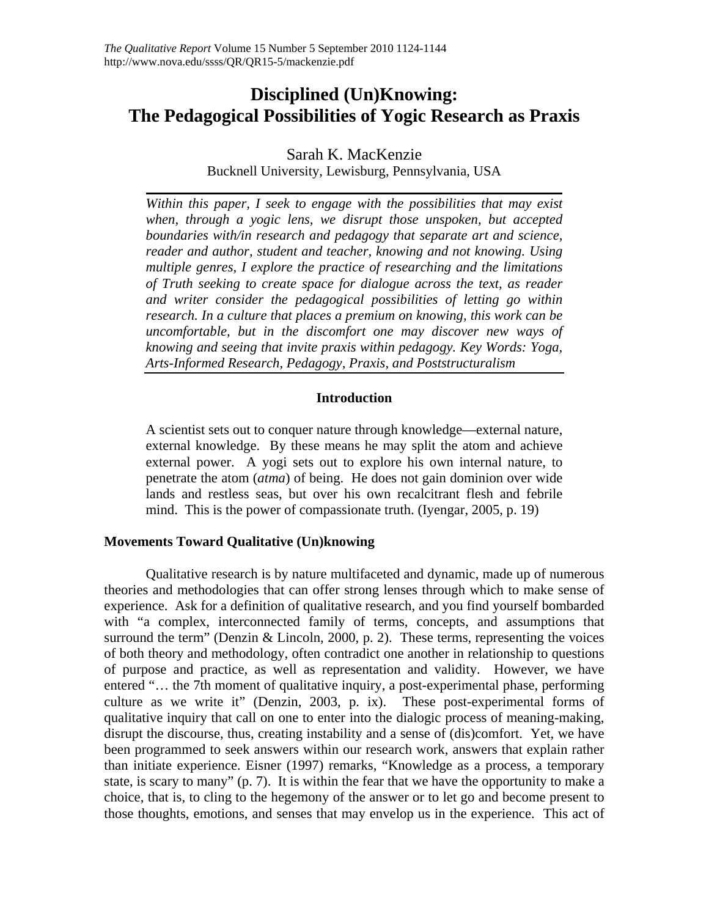## **Disciplined (Un)Knowing: The Pedagogical Possibilities of Yogic Research as Praxis**

Sarah K. MacKenzie

Bucknell University, Lewisburg, Pennsylvania, USA

*Within this paper, I seek to engage with the possibilities that may exist when, through a yogic lens, we disrupt those unspoken, but accepted boundaries with/in research and pedagogy that separate art and science, reader and author, student and teacher, knowing and not knowing. Using multiple genres, I explore the practice of researching and the limitations of Truth seeking to create space for dialogue across the text, as reader and writer consider the pedagogical possibilities of letting go within research. In a culture that places a premium on knowing, this work can be uncomfortable, but in the discomfort one may discover new ways of knowing and seeing that invite praxis within pedagogy. Key Words: Yoga, Arts-Informed Research, Pedagogy, Praxis, and Poststructuralism* 

## **Introduction**

A scientist sets out to conquer nature through knowledge—external nature, external knowledge. By these means he may split the atom and achieve external power. A yogi sets out to explore his own internal nature, to penetrate the atom (*atma*) of being. He does not gain dominion over wide lands and restless seas, but over his own recalcitrant flesh and febrile mind. This is the power of compassionate truth. (Iyengar, 2005, p. 19)

## **Movements Toward Qualitative (Un)knowing**

 Qualitative research is by nature multifaceted and dynamic, made up of numerous theories and methodologies that can offer strong lenses through which to make sense of experience. Ask for a definition of qualitative research, and you find yourself bombarded with "a complex, interconnected family of terms, concepts, and assumptions that surround the term" (Denzin  $& Lincoln, 2000, p. 2)$ . These terms, representing the voices of both theory and methodology, often contradict one another in relationship to questions of purpose and practice, as well as representation and validity. However, we have entered "... the 7th moment of qualitative inquiry, a post-experimental phase, performing culture as we write it" (Denzin, 2003, p. ix). These post-experimental forms of qualitative inquiry that call on one to enter into the dialogic process of meaning-making, disrupt the discourse, thus, creating instability and a sense of (dis)comfort. Yet, we have been programmed to seek answers within our research work, answers that explain rather than initiate experience. Eisner (1997) remarks, "Knowledge as a process, a temporary state, is scary to many" (p. 7). It is within the fear that we have the opportunity to make a choice, that is, to cling to the hegemony of the answer or to let go and become present to those thoughts, emotions, and senses that may envelop us in the experience. This act of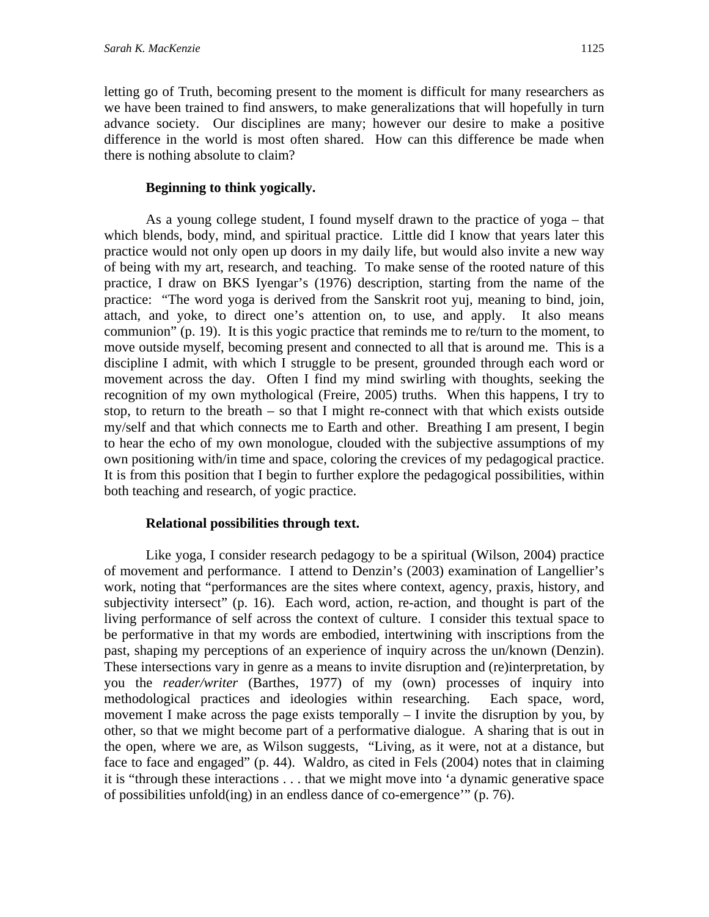letting go of Truth, becoming present to the moment is difficult for many researchers as we have been trained to find answers, to make generalizations that will hopefully in turn advance society. Our disciplines are many; however our desire to make a positive difference in the world is most often shared. How can this difference be made when there is nothing absolute to claim?

## **Beginning to think yogically.**

 As a young college student, I found myself drawn to the practice of yoga – that which blends, body, mind, and spiritual practice. Little did I know that years later this practice would not only open up doors in my daily life, but would also invite a new way of being with my art, research, and teaching. To make sense of the rooted nature of this practice, I draw on BKS Iyengar's (1976) description, starting from the name of the practice: "The word yoga is derived from the Sanskrit root yuj, meaning to bind, join, attach, and yoke, to direct one's attention on, to use, and apply. It also means communion" (p. 19). It is this yogic practice that reminds me to re/turn to the moment, to move outside myself, becoming present and connected to all that is around me. This is a discipline I admit, with which I struggle to be present, grounded through each word or movement across the day. Often I find my mind swirling with thoughts, seeking the recognition of my own mythological (Freire, 2005) truths. When this happens, I try to stop, to return to the breath – so that I might re-connect with that which exists outside my/self and that which connects me to Earth and other. Breathing I am present, I begin to hear the echo of my own monologue, clouded with the subjective assumptions of my own positioning with/in time and space, coloring the crevices of my pedagogical practice. It is from this position that I begin to further explore the pedagogical possibilities, within both teaching and research, of yogic practice.

## **Relational possibilities through text.**

 Like yoga, I consider research pedagogy to be a spiritual (Wilson, 2004) practice of movement and performance. I attend to Denzin's (2003) examination of Langellier's work, noting that "performances are the sites where context, agency, praxis, history, and subjectivity intersect" (p. 16). Each word, action, re-action, and thought is part of the living performance of self across the context of culture. I consider this textual space to be performative in that my words are embodied, intertwining with inscriptions from the past, shaping my perceptions of an experience of inquiry across the un/known (Denzin). These intersections vary in genre as a means to invite disruption and (re)interpretation, by you the *reader/writer* (Barthes, 1977) of my (own) processes of inquiry into methodological practices and ideologies within researching. Each space, word, movement I make across the page exists temporally – I invite the disruption by you, by other, so that we might become part of a performative dialogue. A sharing that is out in the open, where we are, as Wilson suggests, "Living, as it were, not at a distance, but face to face and engaged" (p. 44). Waldro, as cited in Fels (2004) notes that in claiming it is "through these interactions . . . that we might move into 'a dynamic generative space of possibilities unfold(ing) in an endless dance of co-emergence'" (p. 76).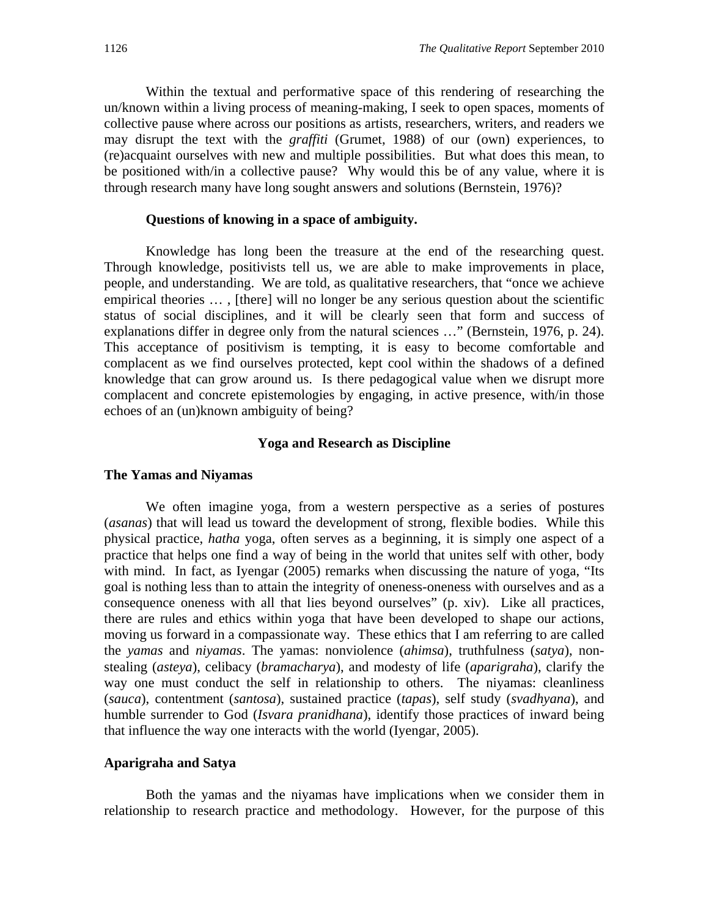Within the textual and performative space of this rendering of researching the un/known within a living process of meaning-making, I seek to open spaces, moments of collective pause where across our positions as artists, researchers, writers, and readers we may disrupt the text with the *graffiti* (Grumet, 1988) of our (own) experiences, to (re)acquaint ourselves with new and multiple possibilities. But what does this mean, to be positioned with/in a collective pause? Why would this be of any value, where it is through research many have long sought answers and solutions (Bernstein, 1976)?

#### **Questions of knowing in a space of ambiguity.**

Knowledge has long been the treasure at the end of the researching quest. Through knowledge, positivists tell us, we are able to make improvements in place, people, and understanding. We are told, as qualitative researchers, that "once we achieve empirical theories … , [there] will no longer be any serious question about the scientific status of social disciplines, and it will be clearly seen that form and success of explanations differ in degree only from the natural sciences …" (Bernstein, 1976, p. 24). This acceptance of positivism is tempting, it is easy to become comfortable and complacent as we find ourselves protected, kept cool within the shadows of a defined knowledge that can grow around us. Is there pedagogical value when we disrupt more complacent and concrete epistemologies by engaging, in active presence, with/in those echoes of an (un)known ambiguity of being?

#### **Yoga and Research as Discipline**

#### **The Yamas and Niyamas**

We often imagine yoga, from a western perspective as a series of postures (*asanas*) that will lead us toward the development of strong, flexible bodies. While this physical practice, *hatha* yoga, often serves as a beginning, it is simply one aspect of a practice that helps one find a way of being in the world that unites self with other, body with mind. In fact, as Iyengar (2005) remarks when discussing the nature of yoga, "Its goal is nothing less than to attain the integrity of oneness-oneness with ourselves and as a consequence oneness with all that lies beyond ourselves" (p. xiv). Like all practices, there are rules and ethics within yoga that have been developed to shape our actions, moving us forward in a compassionate way. These ethics that I am referring to are called the *yamas* and *niyamas*. The yamas: nonviolence (*ahimsa*), truthfulness (*satya*), nonstealing (*asteya*), celibacy (*bramacharya*), and modesty of life (*aparigraha*), clarify the way one must conduct the self in relationship to others. The niyamas: cleanliness (*sauca*), contentment (*santosa*), sustained practice (*tapas*), self study (*svadhyana*), and humble surrender to God (*Isvara pranidhana*), identify those practices of inward being that influence the way one interacts with the world (Iyengar, 2005).

#### **Aparigraha and Satya**

 Both the yamas and the niyamas have implications when we consider them in relationship to research practice and methodology. However, for the purpose of this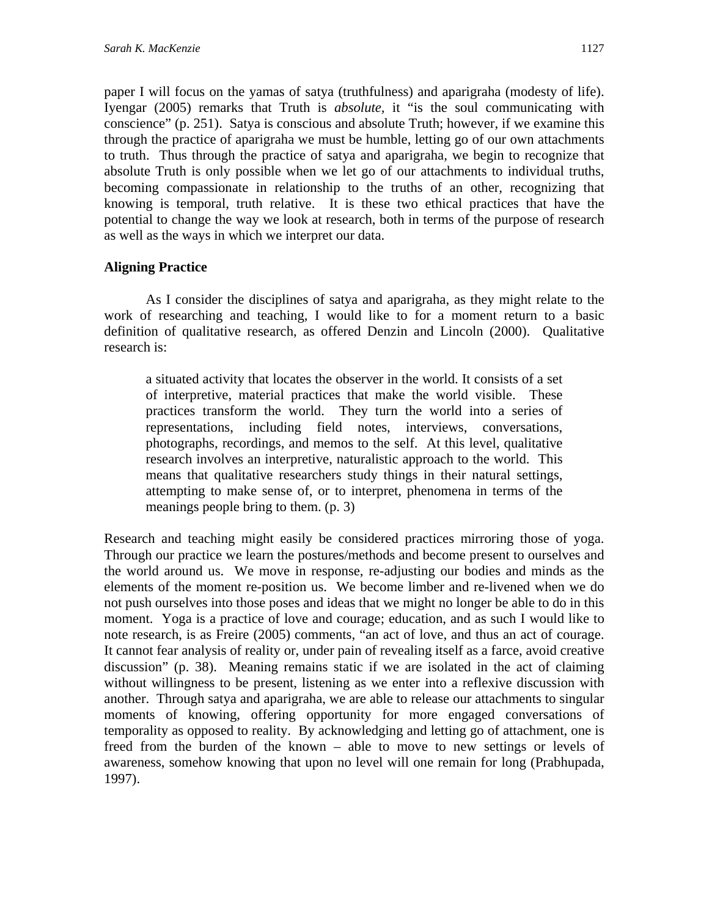paper I will focus on the yamas of satya (truthfulness) and aparigraha (modesty of life). Iyengar (2005) remarks that Truth is *absolute,* it "is the soul communicating with conscience" (p. 251). Satya is conscious and absolute Truth; however, if we examine this through the practice of aparigraha we must be humble, letting go of our own attachments to truth. Thus through the practice of satya and aparigraha*,* we begin to recognize that absolute Truth is only possible when we let go of our attachments to individual truths, becoming compassionate in relationship to the truths of an other*,* recognizing that knowing is temporal, truth relative. It is these two ethical practices that have the potential to change the way we look at research, both in terms of the purpose of research as well as the ways in which we interpret our data.

## **Aligning Practice**

 As I consider the disciplines of satya and aparigraha, as they might relate to the work of researching and teaching, I would like to for a moment return to a basic definition of qualitative research, as offered Denzin and Lincoln (2000). Qualitative research is:

a situated activity that locates the observer in the world. It consists of a set of interpretive, material practices that make the world visible. These practices transform the world. They turn the world into a series of representations, including field notes, interviews, conversations, photographs, recordings, and memos to the self. At this level, qualitative research involves an interpretive, naturalistic approach to the world. This means that qualitative researchers study things in their natural settings, attempting to make sense of, or to interpret, phenomena in terms of the meanings people bring to them. (p. 3)

Research and teaching might easily be considered practices mirroring those of yoga. Through our practice we learn the postures/methods and become present to ourselves and the world around us. We move in response, re-adjusting our bodies and minds as the elements of the moment re-position us. We become limber and re-livened when we do not push ourselves into those poses and ideas that we might no longer be able to do in this moment. Yoga is a practice of love and courage; education, and as such I would like to note research, is as Freire (2005) comments, "an act of love, and thus an act of courage. It cannot fear analysis of reality or, under pain of revealing itself as a farce, avoid creative discussion" (p. 38). Meaning remains static if we are isolated in the act of claiming without willingness to be present, listening as we enter into a reflexive discussion with another. Through satya and aparigraha, we are able to release our attachments to singular moments of knowing, offering opportunity for more engaged conversations of temporality as opposed to reality. By acknowledging and letting go of attachment, one is freed from the burden of the known – able to move to new settings or levels of awareness, somehow knowing that upon no level will one remain for long (Prabhupada, 1997).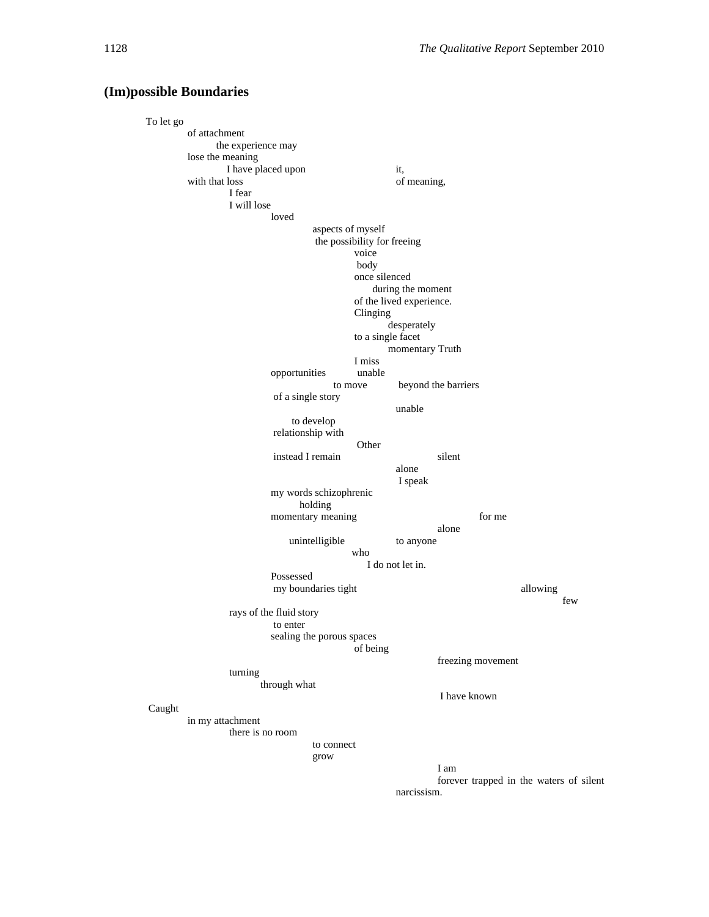#### **(Im)possible Boundaries**

To let go of attachment the experience may lose the meaning I have placed upon it, with that loss of meaning, I fear I will lose loved aspects of myself the possibility for freeing voice body once silenced during the moment of the lived experience. Clinging desperately to a single facet momentary Truth I miss opportunities unable to move beyond the barriers of a single story unable to develop relationship with Other instead I remain silent alone I speak my words schizophrenic holding momentary meaning for me alone unintelligible to anyone who I do not let in. Possessed my boundaries tight allowing few rays of the fluid story to enter sealing the porous spaces of being freezing movement turning through what I have known Caught in my attachment there is no room to connect grow I am forever trapped in the waters of silent narcissism.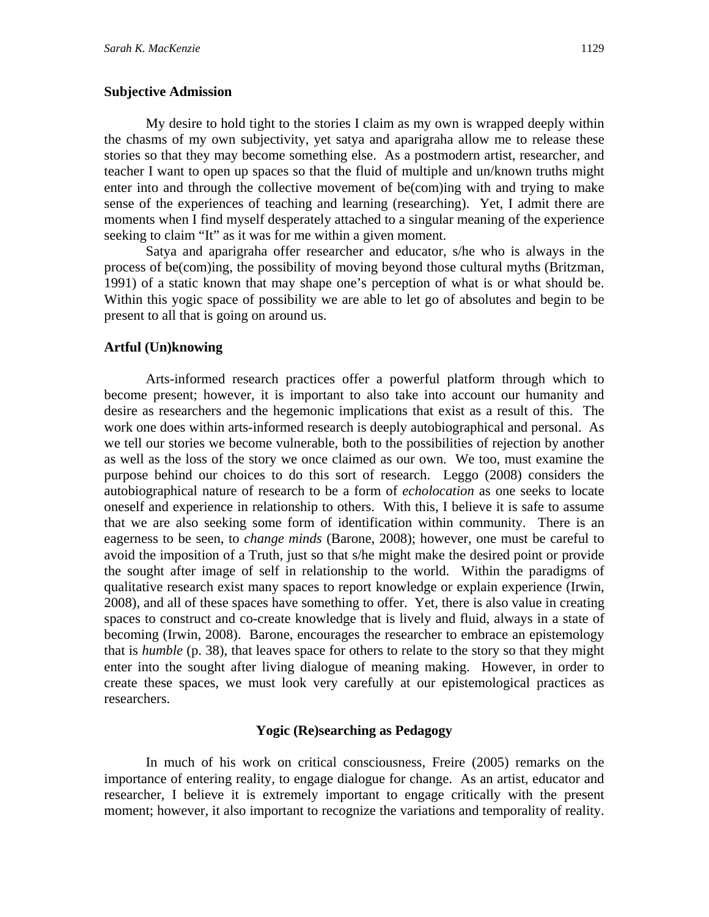#### **Subjective Admission**

 My desire to hold tight to the stories I claim as my own is wrapped deeply within the chasms of my own subjectivity, yet satya and aparigraha allow me to release these stories so that they may become something else. As a postmodern artist, researcher, and teacher I want to open up spaces so that the fluid of multiple and un/known truths might enter into and through the collective movement of be(com)ing with and trying to make sense of the experiences of teaching and learning (researching). Yet, I admit there are moments when I find myself desperately attached to a singular meaning of the experience seeking to claim "It" as it was for me within a given moment.

 Satya and aparigraha offer researcher and educator, s/he who is always in the process of be(com)ing, the possibility of moving beyond those cultural myths (Britzman, 1991) of a static known that may shape one's perception of what is or what should be. Within this yogic space of possibility we are able to let go of absolutes and begin to be present to all that is going on around us.

#### **Artful (Un)knowing**

Arts-informed research practices offer a powerful platform through which to become present; however, it is important to also take into account our humanity and desire as researchers and the hegemonic implications that exist as a result of this. The work one does within arts-informed research is deeply autobiographical and personal. As we tell our stories we become vulnerable, both to the possibilities of rejection by another as well as the loss of the story we once claimed as our own. We too, must examine the purpose behind our choices to do this sort of research. Leggo (2008) considers the autobiographical nature of research to be a form of *echolocation* as one seeks to locate oneself and experience in relationship to others. With this, I believe it is safe to assume that we are also seeking some form of identification within community. There is an eagerness to be seen, to *change minds* (Barone, 2008); however, one must be careful to avoid the imposition of a Truth, just so that s/he might make the desired point or provide the sought after image of self in relationship to the world. Within the paradigms of qualitative research exist many spaces to report knowledge or explain experience (Irwin, 2008), and all of these spaces have something to offer. Yet, there is also value in creating spaces to construct and co-create knowledge that is lively and fluid, always in a state of becoming (Irwin, 2008). Barone, encourages the researcher to embrace an epistemology that is *humble* (p. 38), that leaves space for others to relate to the story so that they might enter into the sought after living dialogue of meaning making. However, in order to create these spaces, we must look very carefully at our epistemological practices as researchers.

#### **Yogic (Re)searching as Pedagogy**

In much of his work on critical consciousness, Freire (2005) remarks on the importance of entering reality, to engage dialogue for change. As an artist, educator and researcher, I believe it is extremely important to engage critically with the present moment; however, it also important to recognize the variations and temporality of reality.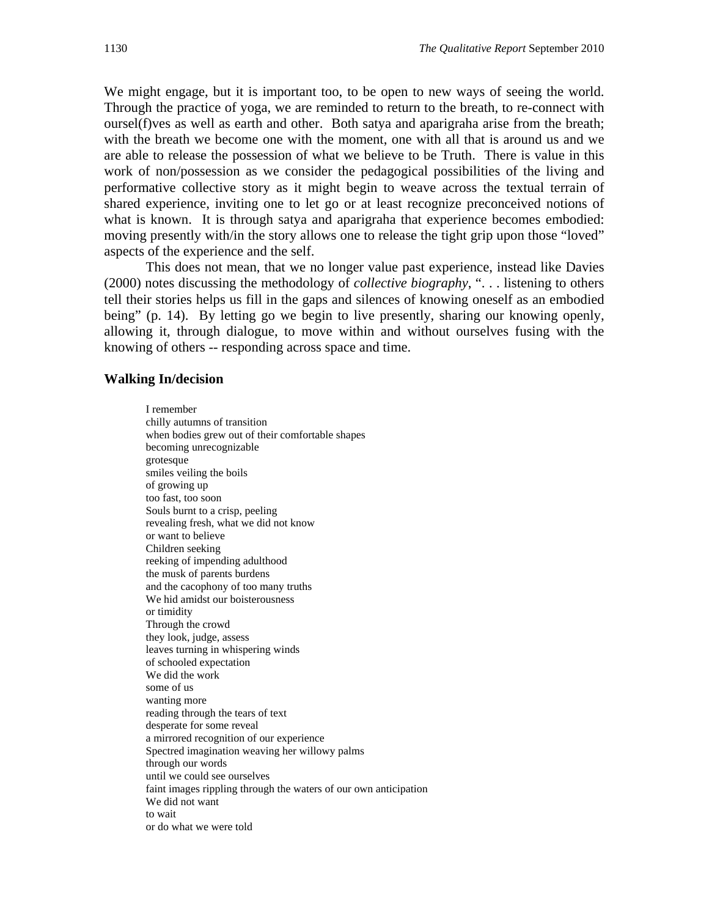We might engage, but it is important too, to be open to new ways of seeing the world. Through the practice of yoga, we are reminded to return to the breath, to re-connect with oursel(f)ves as well as earth and other. Both satya and aparigraha arise from the breath; with the breath we become one with the moment, one with all that is around us and we are able to release the possession of what we believe to be Truth. There is value in this work of non/possession as we consider the pedagogical possibilities of the living and performative collective story as it might begin to weave across the textual terrain of shared experience, inviting one to let go or at least recognize preconceived notions of what is known. It is through satya and aparigraha that experience becomes embodied: moving presently with/in the story allows one to release the tight grip upon those "loved" aspects of the experience and the self.

 This does not mean, that we no longer value past experience, instead like Davies (2000) notes discussing the methodology of *collective biography*, ". . . listening to others tell their stories helps us fill in the gaps and silences of knowing oneself as an embodied being" (p. 14). By letting go we begin to live presently, sharing our knowing openly, allowing it, through dialogue, to move within and without ourselves fusing with the knowing of others -- responding across space and time.

#### **Walking In/decision**

I remember chilly autumns of transition when bodies grew out of their comfortable shapes becoming unrecognizable grotesque smiles veiling the boils of growing up too fast, too soon Souls burnt to a crisp, peeling revealing fresh, what we did not know or want to believe Children seeking reeking of impending adulthood the musk of parents burdens and the cacophony of too many truths We hid amidst our boisterousness or timidity Through the crowd they look, judge, assess leaves turning in whispering winds of schooled expectation We did the work some of us wanting more reading through the tears of text desperate for some reveal a mirrored recognition of our experience Spectred imagination weaving her willowy palms through our words until we could see ourselves faint images rippling through the waters of our own anticipation We did not want to wait or do what we were told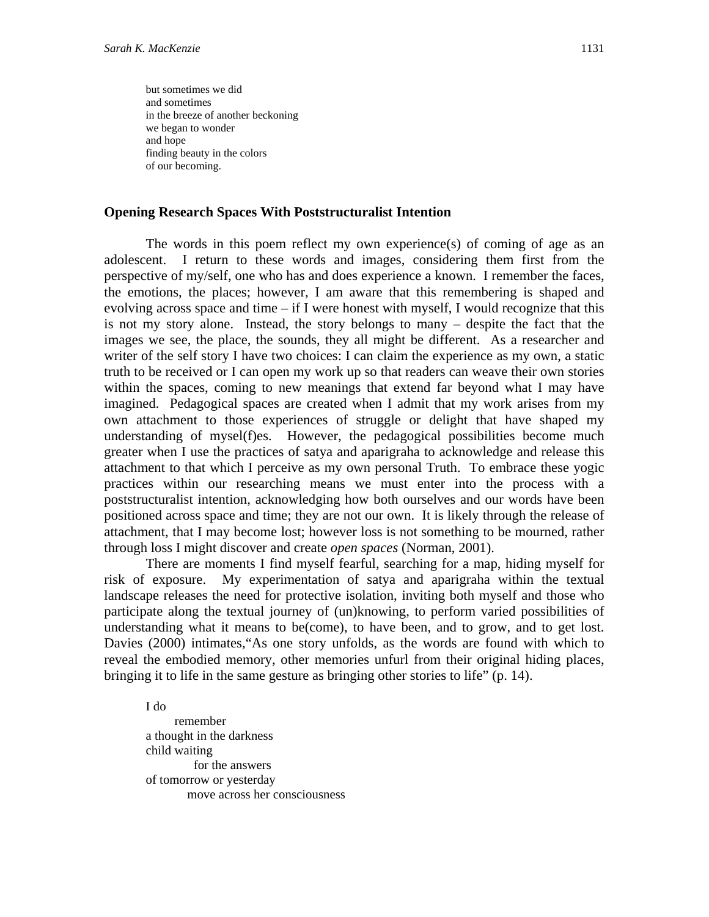but sometimes we did and sometimes in the breeze of another beckoning we began to wonder and hope finding beauty in the colors of our becoming.

#### **Opening Research Spaces With Poststructuralist Intention**

The words in this poem reflect my own experience(s) of coming of age as an adolescent. I return to these words and images, considering them first from the perspective of my/self, one who has and does experience a known. I remember the faces, the emotions, the places; however, I am aware that this remembering is shaped and evolving across space and time – if I were honest with myself, I would recognize that this is not my story alone. Instead, the story belongs to many – despite the fact that the images we see, the place, the sounds, they all might be different. As a researcher and writer of the self story I have two choices: I can claim the experience as my own, a static truth to be received or I can open my work up so that readers can weave their own stories within the spaces, coming to new meanings that extend far beyond what I may have imagined. Pedagogical spaces are created when I admit that my work arises from my own attachment to those experiences of struggle or delight that have shaped my understanding of mysel(f)es. However, the pedagogical possibilities become much greater when I use the practices of satya and aparigraha to acknowledge and release this attachment to that which I perceive as my own personal Truth. To embrace these yogic practices within our researching means we must enter into the process with a poststructuralist intention, acknowledging how both ourselves and our words have been positioned across space and time; they are not our own. It is likely through the release of attachment, that I may become lost; however loss is not something to be mourned, rather through loss I might discover and create *open spaces* (Norman, 2001).

There are moments I find myself fearful, searching for a map, hiding myself for risk of exposure. My experimentation of satya and aparigraha within the textual landscape releases the need for protective isolation, inviting both myself and those who participate along the textual journey of (un)knowing, to perform varied possibilities of understanding what it means to be(come), to have been, and to grow, and to get lost. Davies (2000) intimates,"As one story unfolds, as the words are found with which to reveal the embodied memory, other memories unfurl from their original hiding places, bringing it to life in the same gesture as bringing other stories to life" (p. 14).

I do remember a thought in the darkness child waiting for the answers of tomorrow or yesterday move across her consciousness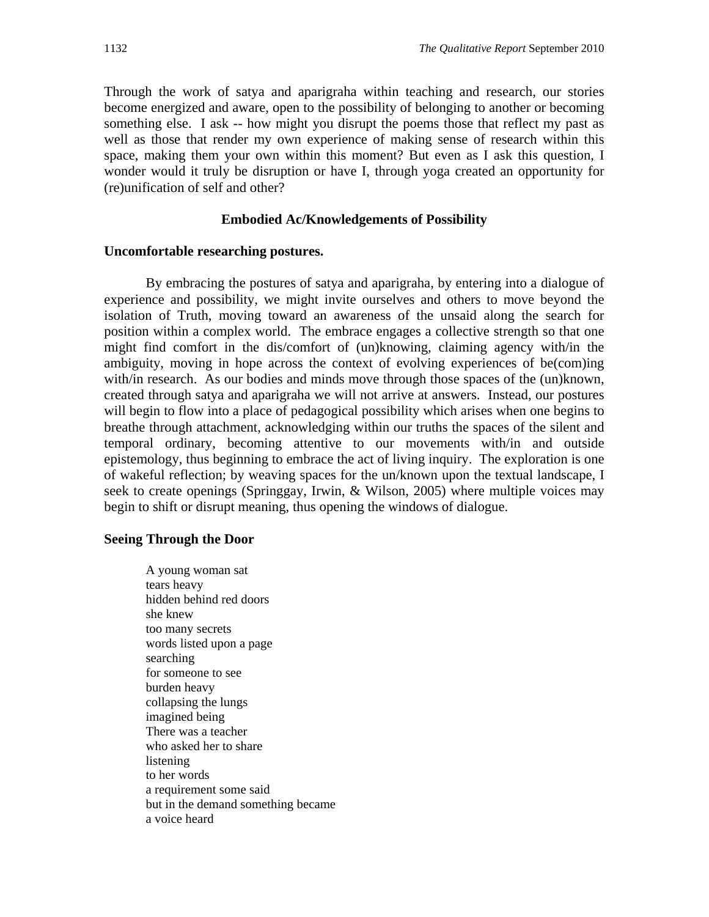Through the work of satya and aparigraha within teaching and research, our stories become energized and aware, open to the possibility of belonging to another or becoming something else. I ask -- how might you disrupt the poems those that reflect my past as well as those that render my own experience of making sense of research within this space, making them your own within this moment? But even as I ask this question, I wonder would it truly be disruption or have I, through yoga created an opportunity for (re)unification of self and other?

#### **Embodied Ac/Knowledgements of Possibility**

#### **Uncomfortable researching postures.**

 By embracing the postures of satya and aparigraha, by entering into a dialogue of experience and possibility, we might invite ourselves and others to move beyond the isolation of Truth, moving toward an awareness of the unsaid along the search for position within a complex world. The embrace engages a collective strength so that one might find comfort in the dis/comfort of (un)knowing, claiming agency with/in the ambiguity, moving in hope across the context of evolving experiences of be(com)ing with/in research. As our bodies and minds move through those spaces of the (un)known, created through satya and aparigraha we will not arrive at answers. Instead, our postures will begin to flow into a place of pedagogical possibility which arises when one begins to breathe through attachment, acknowledging within our truths the spaces of the silent and temporal ordinary, becoming attentive to our movements with/in and outside epistemology, thus beginning to embrace the act of living inquiry. The exploration is one of wakeful reflection; by weaving spaces for the un/known upon the textual landscape, I seek to create openings (Springgay, Irwin, & Wilson, 2005) where multiple voices may begin to shift or disrupt meaning, thus opening the windows of dialogue.

#### **Seeing Through the Door**

A young woman sat tears heavy hidden behind red doors she knew too many secrets words listed upon a page searching for someone to see burden heavy collapsing the lungs imagined being There was a teacher who asked her to share listening to her words a requirement some said but in the demand something became a voice heard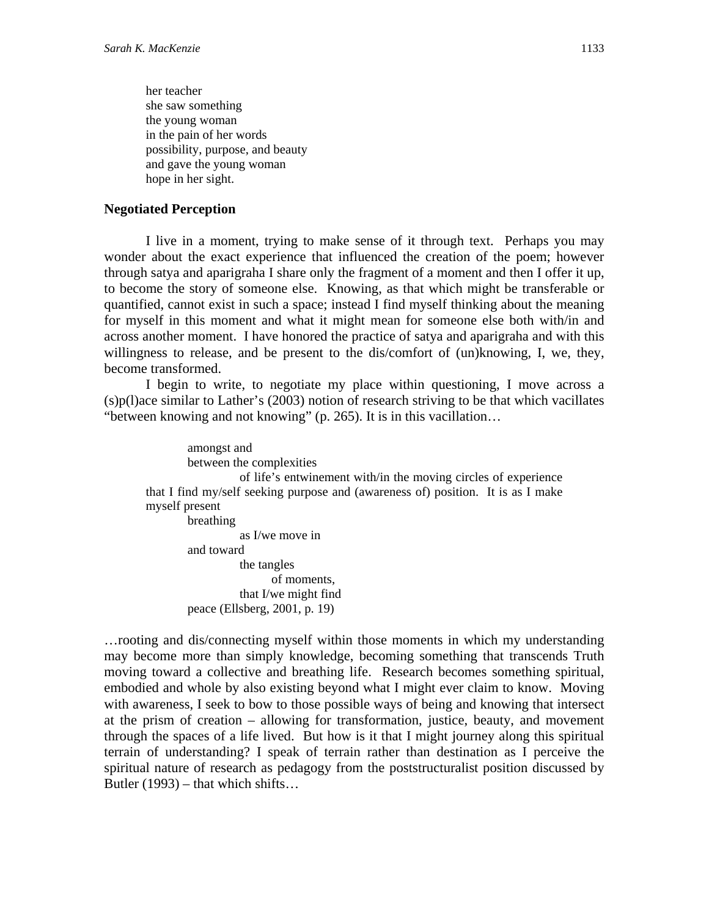her teacher she saw something the young woman in the pain of her words possibility, purpose, and beauty and gave the young woman hope in her sight.

#### **Negotiated Perception**

 I live in a moment, trying to make sense of it through text. Perhaps you may wonder about the exact experience that influenced the creation of the poem; however through satya and aparigraha I share only the fragment of a moment and then I offer it up, to become the story of someone else. Knowing, as that which might be transferable or quantified, cannot exist in such a space; instead I find myself thinking about the meaning for myself in this moment and what it might mean for someone else both with/in and across another moment. I have honored the practice of satya and aparigraha and with this willingness to release, and be present to the dis/comfort of (un)knowing, I, we, they, become transformed.

I begin to write, to negotiate my place within questioning, I move across a (s)p(l)ace similar to Lather's (2003) notion of research striving to be that which vacillates "between knowing and not knowing" (p. 265). It is in this vacillation…

amongst and between the complexities of life's entwinement with/in the moving circles of experience that I find my/self seeking purpose and (awareness of) position. It is as I make myself present breathing as I/we move in and toward the tangles of moments, that I/we might find peace (Ellsberg, 2001, p. 19)

…rooting and dis/connecting myself within those moments in which my understanding may become more than simply knowledge, becoming something that transcends Truth moving toward a collective and breathing life. Research becomes something spiritual, embodied and whole by also existing beyond what I might ever claim to know. Moving with awareness, I seek to bow to those possible ways of being and knowing that intersect at the prism of creation – allowing for transformation, justice, beauty, and movement through the spaces of a life lived. But how is it that I might journey along this spiritual terrain of understanding? I speak of terrain rather than destination as I perceive the spiritual nature of research as pedagogy from the poststructuralist position discussed by Butler (1993) – that which shifts…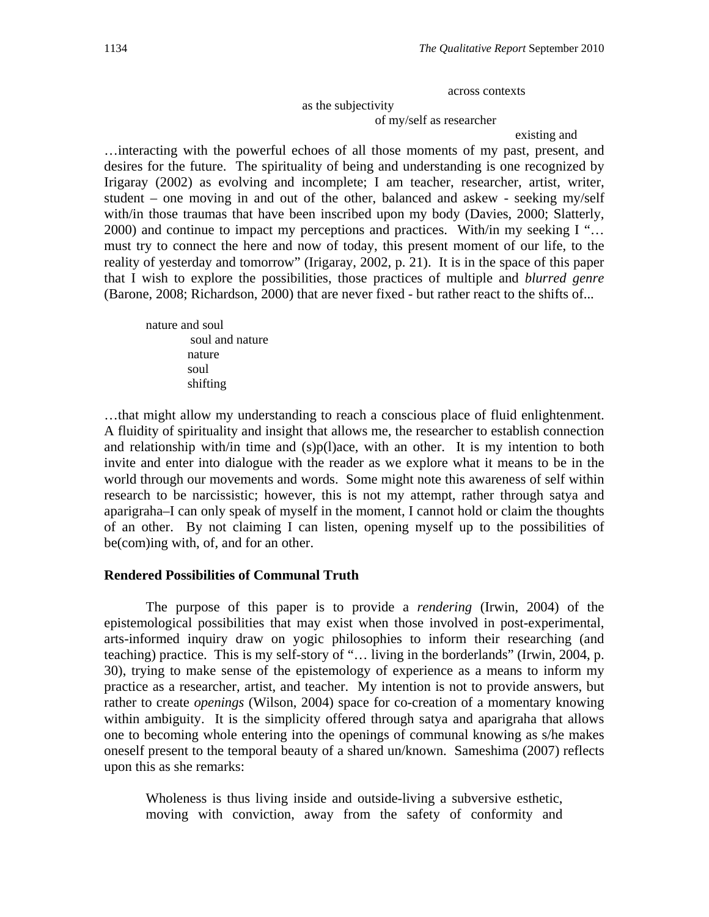across contexts

as the subjectivity

of my/self as researcher

#### existing and

…interacting with the powerful echoes of all those moments of my past, present, and desires for the future. The spirituality of being and understanding is one recognized by Irigaray (2002) as evolving and incomplete; I am teacher, researcher, artist, writer, student – one moving in and out of the other, balanced and askew - seeking my/self with/in those traumas that have been inscribed upon my body (Davies, 2000; Slatterly, 2000) and continue to impact my perceptions and practices. With/in my seeking I "… must try to connect the here and now of today, this present moment of our life, to the reality of yesterday and tomorrow" (Irigaray, 2002, p. 21). It is in the space of this paper that I wish to explore the possibilities, those practices of multiple and *blurred genre* (Barone, 2008; Richardson, 2000) that are never fixed - but rather react to the shifts of...

nature and soul soul and nature nature soul shifting

…that might allow my understanding to reach a conscious place of fluid enlightenment. A fluidity of spirituality and insight that allows me, the researcher to establish connection and relationship with/in time and (s)p(l)ace, with an other. It is my intention to both invite and enter into dialogue with the reader as we explore what it means to be in the world through our movements and words. Some might note this awareness of self within research to be narcissistic; however, this is not my attempt, rather through satya and aparigraha–I can only speak of myself in the moment, I cannot hold or claim the thoughts of an other. By not claiming I can listen, opening myself up to the possibilities of be(com)ing with, of, and for an other.

#### **Rendered Possibilities of Communal Truth**

 The purpose of this paper is to provide a *rendering* (Irwin, 2004) of the epistemological possibilities that may exist when those involved in post-experimental, arts-informed inquiry draw on yogic philosophies to inform their researching (and teaching) practice. This is my self-story of "... living in the borderlands" (Irwin, 2004, p. 30), trying to make sense of the epistemology of experience as a means to inform my practice as a researcher, artist, and teacher. My intention is not to provide answers, but rather to create *openings* (Wilson, 2004) space for co-creation of a momentary knowing within ambiguity. It is the simplicity offered through satya and aparigraha that allows one to becoming whole entering into the openings of communal knowing as s/he makes oneself present to the temporal beauty of a shared un/known. Sameshima (2007) reflects upon this as she remarks:

Wholeness is thus living inside and outside-living a subversive esthetic, moving with conviction, away from the safety of conformity and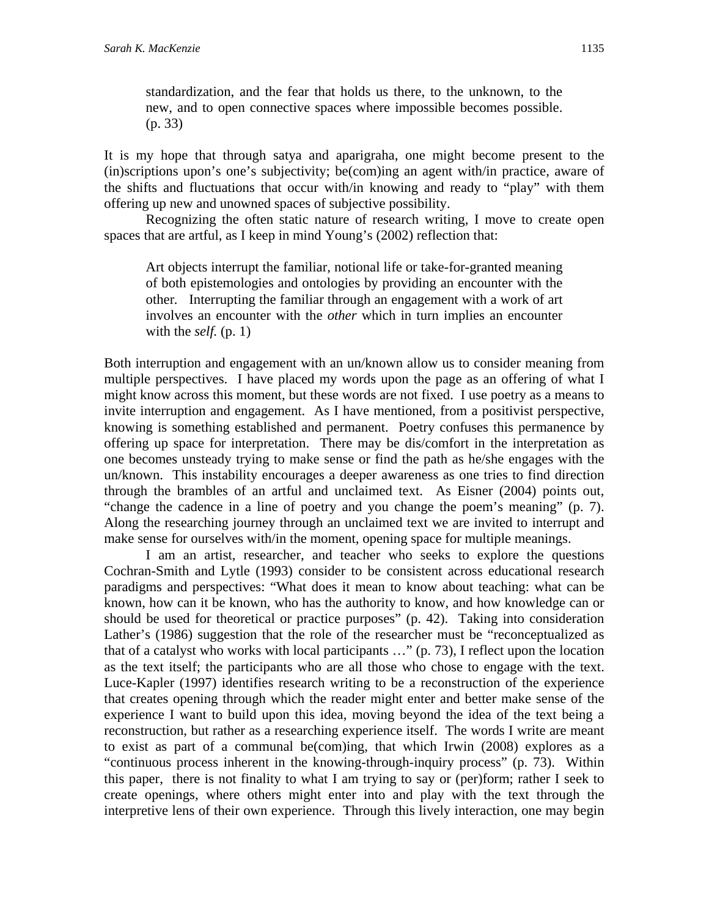standardization, and the fear that holds us there, to the unknown, to the new, and to open connective spaces where impossible becomes possible. (p. 33)

It is my hope that through satya and aparigraha, one might become present to the (in)scriptions upon's one's subjectivity; be(com)ing an agent with/in practice, aware of the shifts and fluctuations that occur with/in knowing and ready to "play" with them offering up new and unowned spaces of subjective possibility.

 Recognizing the often static nature of research writing, I move to create open spaces that are artful, as I keep in mind Young's (2002) reflection that:

Art objects interrupt the familiar, notional life or take-for-granted meaning of both epistemologies and ontologies by providing an encounter with the other*.* Interrupting the familiar through an engagement with a work of art involves an encounter with the *other* which in turn implies an encounter with the *self.* (p. 1)

Both interruption and engagement with an un/known allow us to consider meaning from multiple perspectives. I have placed my words upon the page as an offering of what I might know across this moment, but these words are not fixed. I use poetry as a means to invite interruption and engagement. As I have mentioned, from a positivist perspective, knowing is something established and permanent. Poetry confuses this permanence by offering up space for interpretation. There may be dis/comfort in the interpretation as one becomes unsteady trying to make sense or find the path as he/she engages with the un/known. This instability encourages a deeper awareness as one tries to find direction through the brambles of an artful and unclaimed text. As Eisner (2004) points out, "change the cadence in a line of poetry and you change the poem's meaning" (p. 7). Along the researching journey through an unclaimed text we are invited to interrupt and make sense for ourselves with/in the moment, opening space for multiple meanings.

 I am an artist, researcher, and teacher who seeks to explore the questions Cochran-Smith and Lytle (1993) consider to be consistent across educational research paradigms and perspectives: "What does it mean to know about teaching: what can be known, how can it be known, who has the authority to know, and how knowledge can or should be used for theoretical or practice purposes" (p. 42). Taking into consideration Lather's (1986) suggestion that the role of the researcher must be "reconceptualized as that of a catalyst who works with local participants …" (p. 73), I reflect upon the location as the text itself; the participants who are all those who chose to engage with the text. Luce-Kapler (1997) identifies research writing to be a reconstruction of the experience that creates opening through which the reader might enter and better make sense of the experience I want to build upon this idea, moving beyond the idea of the text being a reconstruction, but rather as a researching experience itself. The words I write are meant to exist as part of a communal be(com)ing, that which Irwin (2008) explores as a "continuous process inherent in the knowing-through-inquiry process" (p. 73). Within this paper, there is not finality to what I am trying to say or (per)form; rather I seek to create openings, where others might enter into and play with the text through the interpretive lens of their own experience. Through this lively interaction, one may begin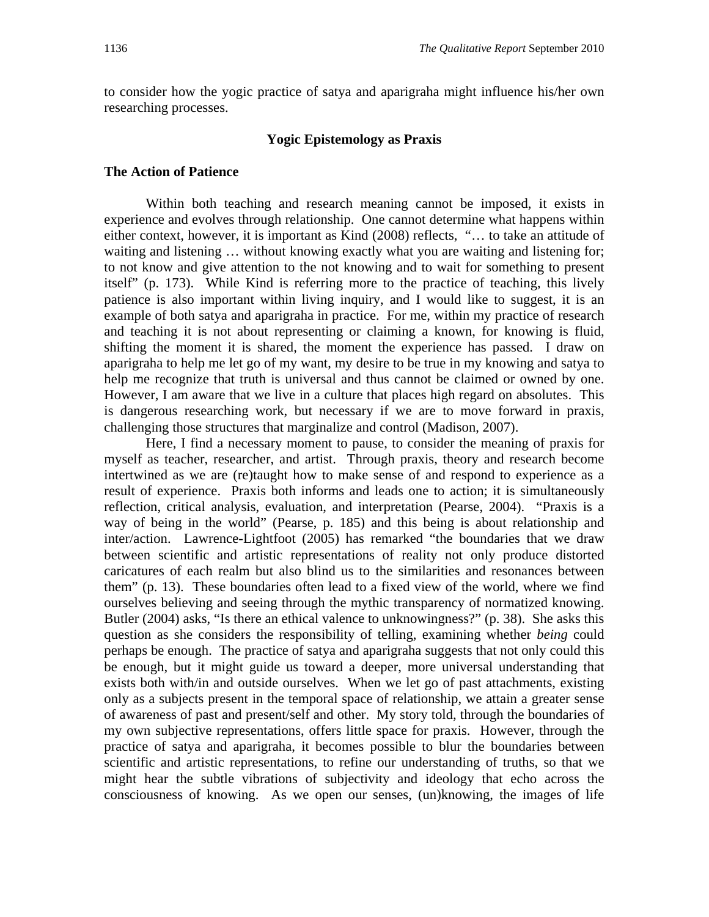to consider how the yogic practice of satya and aparigraha might influence his/her own researching processes.

#### **Yogic Epistemology as Praxis**

#### **The Action of Patience**

 Within both teaching and research meaning cannot be imposed, it exists in experience and evolves through relationship. One cannot determine what happens within either context, however, it is important as Kind (2008) reflects, "… to take an attitude of waiting and listening ... without knowing exactly what you are waiting and listening for; to not know and give attention to the not knowing and to wait for something to present itself" (p. 173). While Kind is referring more to the practice of teaching, this lively patience is also important within living inquiry, and I would like to suggest, it is an example of both satya and aparigraha in practice. For me, within my practice of research and teaching it is not about representing or claiming a known, for knowing is fluid, shifting the moment it is shared, the moment the experience has passed. I draw on aparigraha to help me let go of my want, my desire to be true in my knowing and satya to help me recognize that truth is universal and thus cannot be claimed or owned by one. However, I am aware that we live in a culture that places high regard on absolutes. This is dangerous researching work, but necessary if we are to move forward in praxis, challenging those structures that marginalize and control (Madison, 2007).

 Here, I find a necessary moment to pause, to consider the meaning of praxis for myself as teacher, researcher, and artist. Through praxis, theory and research become intertwined as we are (re)taught how to make sense of and respond to experience as a result of experience. Praxis both informs and leads one to action; it is simultaneously reflection, critical analysis, evaluation, and interpretation (Pearse, 2004). "Praxis is a way of being in the world" (Pearse, p. 185) and this being is about relationship and inter/action. Lawrence-Lightfoot (2005) has remarked "the boundaries that we draw between scientific and artistic representations of reality not only produce distorted caricatures of each realm but also blind us to the similarities and resonances between them" (p. 13). These boundaries often lead to a fixed view of the world, where we find ourselves believing and seeing through the mythic transparency of normatized knowing. Butler (2004) asks, "Is there an ethical valence to unknowingness?" (p. 38). She asks this question as she considers the responsibility of telling, examining whether *being* could perhaps be enough. The practice of satya and aparigraha suggests that not only could this be enough, but it might guide us toward a deeper, more universal understanding that exists both with/in and outside ourselves. When we let go of past attachments, existing only as a subjects present in the temporal space of relationship, we attain a greater sense of awareness of past and present/self and other. My story told, through the boundaries of my own subjective representations, offers little space for praxis. However, through the practice of satya and aparigraha, it becomes possible to blur the boundaries between scientific and artistic representations, to refine our understanding of truths, so that we might hear the subtle vibrations of subjectivity and ideology that echo across the consciousness of knowing. As we open our senses, (un)knowing, the images of life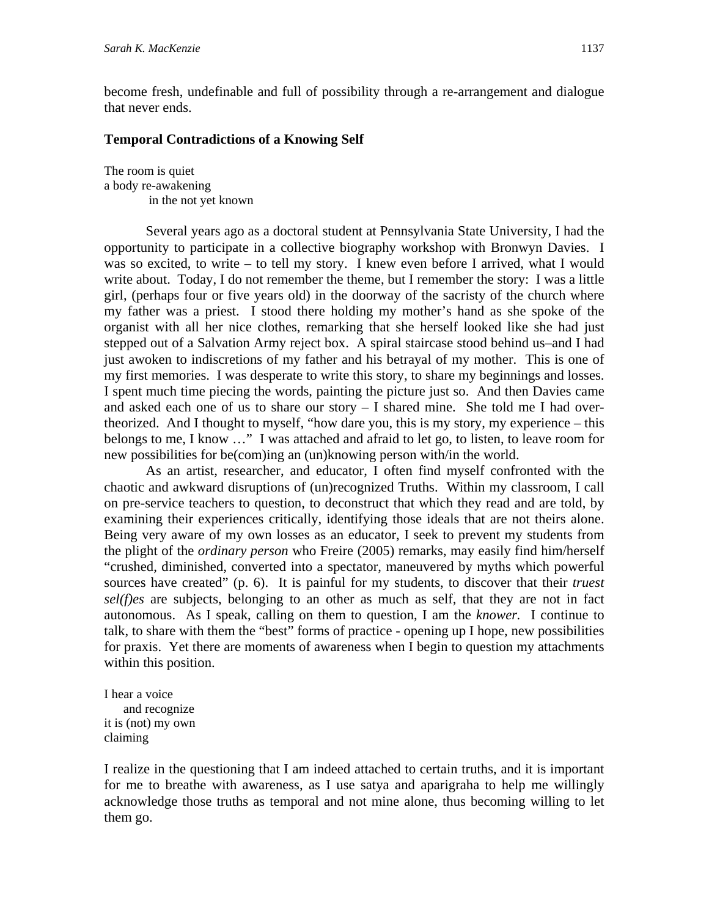become fresh, undefinable and full of possibility through a re-arrangement and dialogue that never ends.

## **Temporal Contradictions of a Knowing Self**

The room is quiet a body re-awakening in the not yet known

 Several years ago as a doctoral student at Pennsylvania State University, I had the opportunity to participate in a collective biography workshop with Bronwyn Davies. I was so excited, to write – to tell my story. I knew even before I arrived, what I would write about. Today, I do not remember the theme, but I remember the story: I was a little girl, (perhaps four or five years old) in the doorway of the sacristy of the church where my father was a priest. I stood there holding my mother's hand as she spoke of the organist with all her nice clothes, remarking that she herself looked like she had just stepped out of a Salvation Army reject box. A spiral staircase stood behind us–and I had just awoken to indiscretions of my father and his betrayal of my mother. This is one of my first memories. I was desperate to write this story, to share my beginnings and losses. I spent much time piecing the words, painting the picture just so. And then Davies came and asked each one of us to share our story – I shared mine. She told me I had overtheorized. And I thought to myself, "how dare you, this is my story, my experience – this belongs to me, I know …" I was attached and afraid to let go, to listen, to leave room for new possibilities for be(com)ing an (un)knowing person with/in the world.

 As an artist, researcher, and educator, I often find myself confronted with the chaotic and awkward disruptions of (un)recognized Truths. Within my classroom, I call on pre-service teachers to question, to deconstruct that which they read and are told, by examining their experiences critically, identifying those ideals that are not theirs alone. Being very aware of my own losses as an educator, I seek to prevent my students from the plight of the *ordinary person* who Freire (2005) remarks, may easily find him/herself "crushed, diminished, converted into a spectator, maneuvered by myths which powerful sources have created" (p. 6). It is painful for my students, to discover that their *truest sel(f)es* are subjects, belonging to an other as much as self*,* that they are not in fact autonomous. As I speak, calling on them to question, I am the *knower.* I continue to talk, to share with them the "best" forms of practice - opening up I hope, new possibilities for praxis. Yet there are moments of awareness when I begin to question my attachments within this position.

I hear a voice and recognize it is (not) my own claiming

I realize in the questioning that I am indeed attached to certain truths, and it is important for me to breathe with awareness, as I use satya and aparigraha to help me willingly acknowledge those truths as temporal and not mine alone, thus becoming willing to let them go.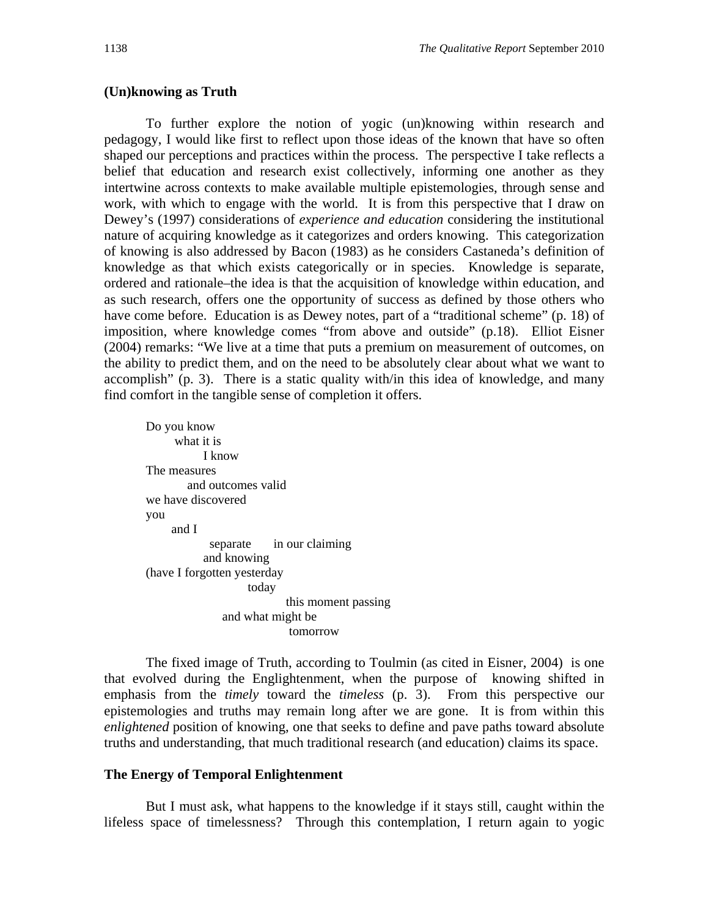#### **(Un)knowing as Truth**

 To further explore the notion of yogic (un)knowing within research and pedagogy, I would like first to reflect upon those ideas of the known that have so often shaped our perceptions and practices within the process. The perspective I take reflects a belief that education and research exist collectively, informing one another as they intertwine across contexts to make available multiple epistemologies, through sense and work, with which to engage with the world. It is from this perspective that I draw on Dewey's (1997) considerations of *experience and education* considering the institutional nature of acquiring knowledge as it categorizes and orders knowing. This categorization of knowing is also addressed by Bacon (1983) as he considers Castaneda's definition of knowledge as that which exists categorically or in species. Knowledge is separate, ordered and rationale–the idea is that the acquisition of knowledge within education, and as such research, offers one the opportunity of success as defined by those others who have come before. Education is as Dewey notes, part of a "traditional scheme" (p. 18) of imposition, where knowledge comes "from above and outside" (p.18). Elliot Eisner (2004) remarks: "We live at a time that puts a premium on measurement of outcomes, on the ability to predict them, and on the need to be absolutely clear about what we want to accomplish" (p. 3). There is a static quality with/in this idea of knowledge, and many find comfort in the tangible sense of completion it offers.

Do you know what it is I know The measures and outcomes valid we have discovered you and I separate in our claiming and knowing (have I forgotten yesterday today this moment passing and what might be tomorrow

 The fixed image of Truth, according to Toulmin (as cited in Eisner, 2004) is one that evolved during the Englightenment, when the purpose of knowing shifted in emphasis from the *timely* toward the *timeless* (p. 3). From this perspective our epistemologies and truths may remain long after we are gone. It is from within this *enlightened* position of knowing, one that seeks to define and pave paths toward absolute truths and understanding, that much traditional research (and education) claims its space.

#### **The Energy of Temporal Enlightenment**

 But I must ask, what happens to the knowledge if it stays still, caught within the lifeless space of timelessness? Through this contemplation, I return again to yogic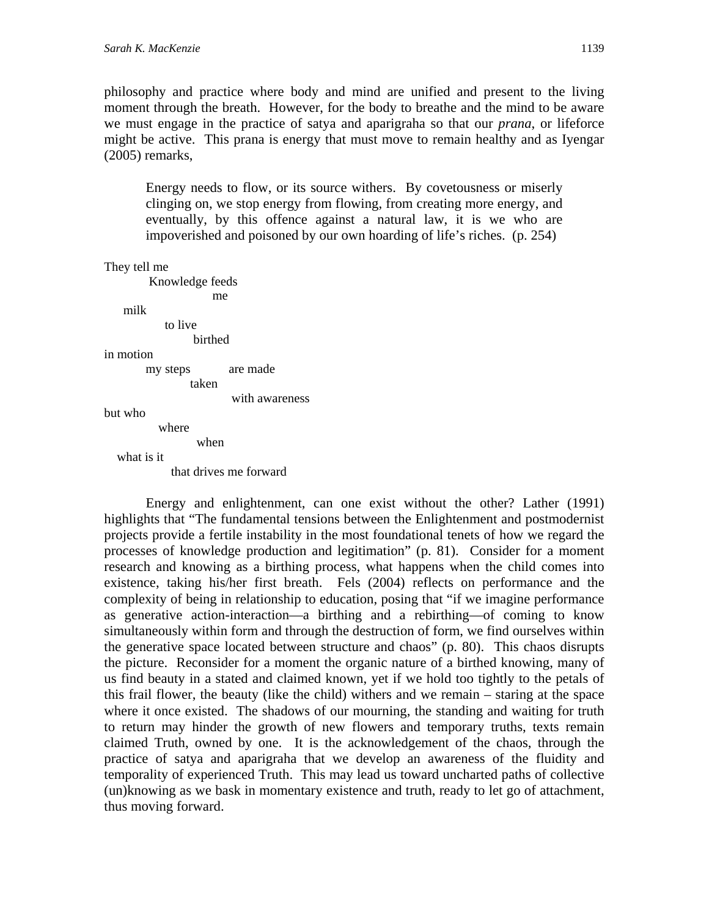philosophy and practice where body and mind are unified and present to the living moment through the breath. However, for the body to breathe and the mind to be aware we must engage in the practice of satya and aparigraha so that our *prana*, or lifeforce might be active. This prana is energy that must move to remain healthy and as Iyengar (2005) remarks,

Energy needs to flow, or its source withers. By covetousness or miserly clinging on, we stop energy from flowing, from creating more energy, and eventually, by this offence against a natural law, it is we who are impoverished and poisoned by our own hoarding of life's riches. (p. 254)

```
They tell me
```
 Knowledge feeds me me milk to live birthed in motion my steps are made taken with awareness but who where when what is it that drives me forward

 Energy and enlightenment, can one exist without the other? Lather (1991) highlights that "The fundamental tensions between the Enlightenment and postmodernist projects provide a fertile instability in the most foundational tenets of how we regard the processes of knowledge production and legitimation" (p. 81). Consider for a moment research and knowing as a birthing process, what happens when the child comes into existence, taking his/her first breath. Fels (2004) reflects on performance and the complexity of being in relationship to education, posing that "if we imagine performance as generative action-interaction—a birthing and a rebirthing—of coming to know simultaneously within form and through the destruction of form, we find ourselves within the generative space located between structure and chaos" (p. 80). This chaos disrupts the picture. Reconsider for a moment the organic nature of a birthed knowing, many of us find beauty in a stated and claimed known, yet if we hold too tightly to the petals of this frail flower, the beauty (like the child) withers and we remain – staring at the space where it once existed. The shadows of our mourning, the standing and waiting for truth to return may hinder the growth of new flowers and temporary truths, texts remain claimed Truth, owned by one. It is the acknowledgement of the chaos, through the practice of satya and aparigraha that we develop an awareness of the fluidity and temporality of experienced Truth. This may lead us toward uncharted paths of collective (un)knowing as we bask in momentary existence and truth, ready to let go of attachment, thus moving forward.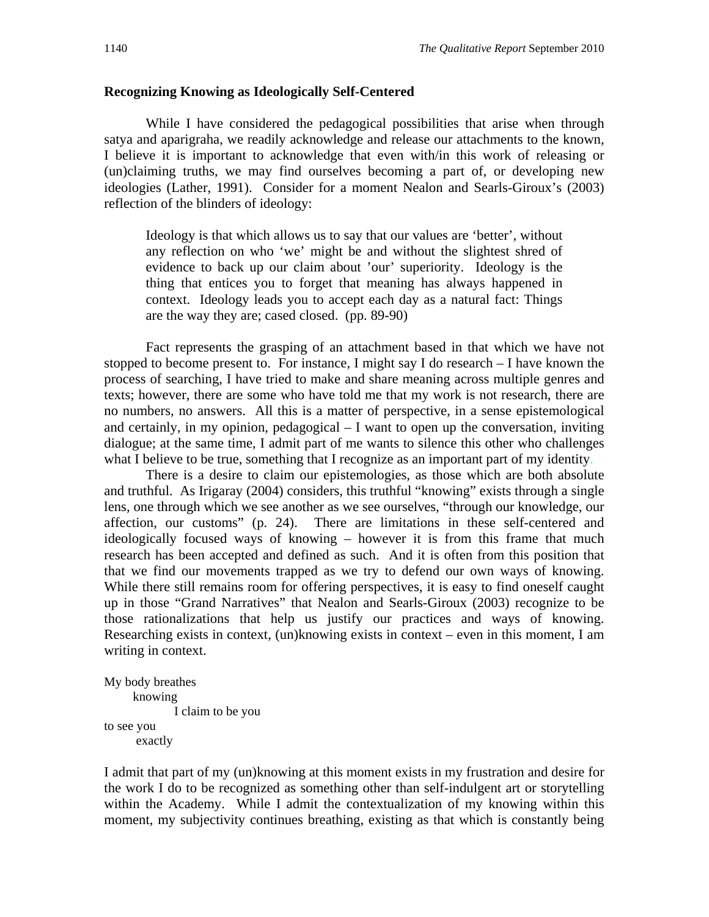#### **Recognizing Knowing as Ideologically Self-Centered**

While I have considered the pedagogical possibilities that arise when through satya and aparigraha, we readily acknowledge and release our attachments to the known, I believe it is important to acknowledge that even with/in this work of releasing or (un)claiming truths, we may find ourselves becoming a part of, or developing new ideologies (Lather, 1991). Consider for a moment Nealon and Searls-Giroux's (2003) reflection of the blinders of ideology:

Ideology is that which allows us to say that our values are 'better', without any reflection on who 'we' might be and without the slightest shred of evidence to back up our claim about 'our' superiority. Ideology is the thing that entices you to forget that meaning has always happened in context. Ideology leads you to accept each day as a natural fact: Things are the way they are; cased closed. (pp. 89-90)

 Fact represents the grasping of an attachment based in that which we have not stopped to become present to. For instance, I might say I do research – I have known the process of searching, I have tried to make and share meaning across multiple genres and texts; however, there are some who have told me that my work is not research, there are no numbers, no answers. All this is a matter of perspective, in a sense epistemological and certainly, in my opinion, pedagogical – I want to open up the conversation, inviting dialogue; at the same time, I admit part of me wants to silence this other who challenges what I believe to be true, something that I recognize as an important part of my identity.

There is a desire to claim our epistemologies, as those which are both absolute and truthful. As Irigaray (2004) considers, this truthful "knowing" exists through a single lens, one through which we see another as we see ourselves, "through our knowledge, our affection, our customs" (p. 24). There are limitations in these self-centered and ideologically focused ways of knowing – however it is from this frame that much research has been accepted and defined as such. And it is often from this position that that we find our movements trapped as we try to defend our own ways of knowing. While there still remains room for offering perspectives, it is easy to find oneself caught up in those "Grand Narratives" that Nealon and Searls-Giroux (2003) recognize to be those rationalizations that help us justify our practices and ways of knowing. Researching exists in context, (un)knowing exists in context – even in this moment, I am writing in context.

```
My body breathes 
      knowing 
               I claim to be you 
to see you 
       exactly
```
I admit that part of my (un)knowing at this moment exists in my frustration and desire for the work I do to be recognized as something other than self-indulgent art or storytelling within the Academy. While I admit the contextualization of my knowing within this moment, my subjectivity continues breathing, existing as that which is constantly being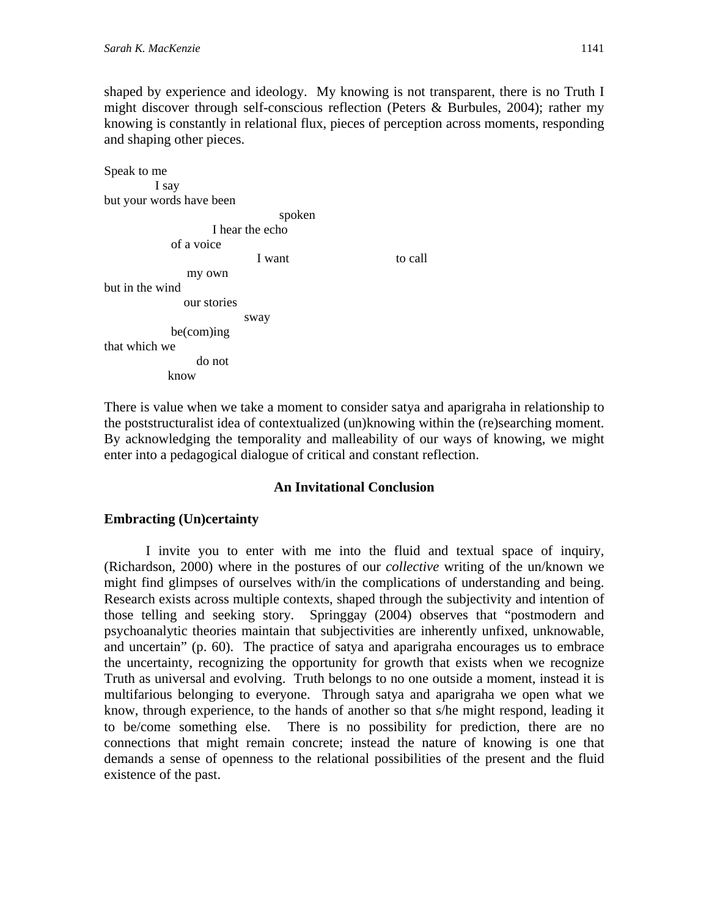shaped by experience and ideology. My knowing is not transparent, there is no Truth I might discover through self-conscious reflection (Peters & Burbules, 2004); rather my knowing is constantly in relational flux, pieces of perception across moments, responding and shaping other pieces.

```
Speak to me 
         I say 
but your words have been 
                              spoken 
                   I hear the echo 
            of a voice 
I want to call
              my own 
but in the wind 
              our stories 
                        sway 
            be(com)ing 
that which we 
                do not 
           know
```
There is value when we take a moment to consider satya and aparigraha in relationship to the poststructuralist idea of contextualized (un)knowing within the (re)searching moment. By acknowledging the temporality and malleability of our ways of knowing, we might enter into a pedagogical dialogue of critical and constant reflection.

## **An Invitational Conclusion**

## **Embracting (Un)certainty**

I invite you to enter with me into the fluid and textual space of inquiry, (Richardson, 2000) where in the postures of our *collective* writing of the un/known we might find glimpses of ourselves with/in the complications of understanding and being. Research exists across multiple contexts, shaped through the subjectivity and intention of those telling and seeking story. Springgay (2004) observes that "postmodern and psychoanalytic theories maintain that subjectivities are inherently unfixed, unknowable, and uncertain" (p. 60). The practice of satya and aparigraha encourages us to embrace the uncertainty, recognizing the opportunity for growth that exists when we recognize Truth as universal and evolving. Truth belongs to no one outside a moment, instead it is multifarious belonging to everyone. Through satya and aparigraha we open what we know, through experience, to the hands of another so that s/he might respond, leading it to be/come something else.There is no possibility for prediction, there are no connections that might remain concrete; instead the nature of knowing is one that demands a sense of openness to the relational possibilities of the present and the fluid existence of the past.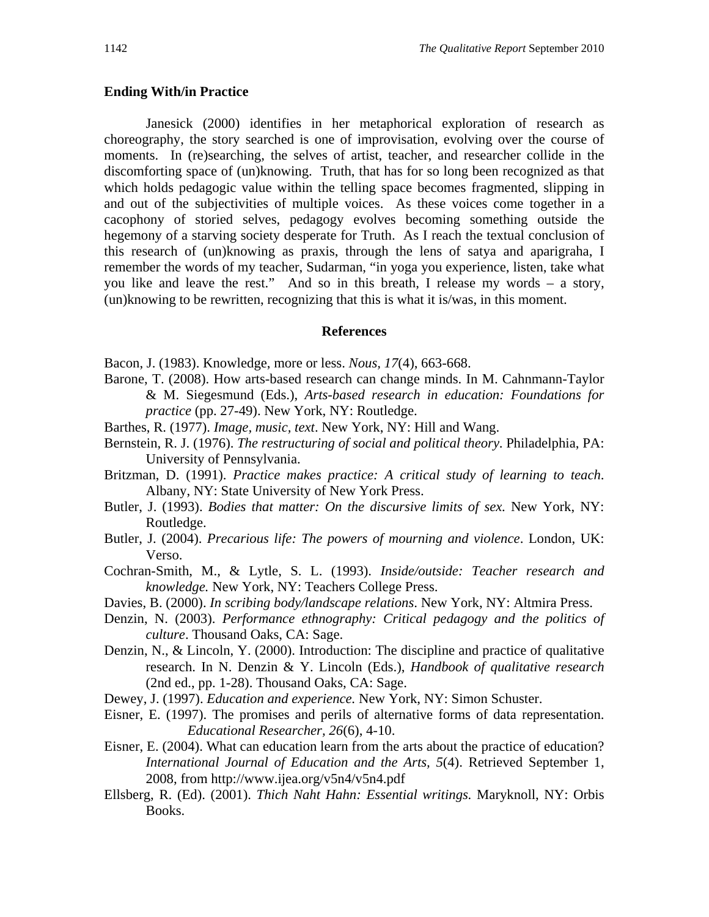#### **Ending With/in Practice**

Janesick (2000) identifies in her metaphorical exploration of research as choreography, the story searched is one of improvisation, evolving over the course of moments. In (re)searching, the selves of artist, teacher, and researcher collide in the discomforting space of (un)knowing. Truth, that has for so long been recognized as that which holds pedagogic value within the telling space becomes fragmented, slipping in and out of the subjectivities of multiple voices. As these voices come together in a cacophony of storied selves, pedagogy evolves becoming something outside the hegemony of a starving society desperate for Truth. As I reach the textual conclusion of this research of (un)knowing as praxis, through the lens of satya and aparigraha, I remember the words of my teacher, Sudarman, "in yoga you experience, listen, take what you like and leave the rest." And so in this breath, I release my words – a story, (un)knowing to be rewritten, recognizing that this is what it is/was, in this moment.

#### **References**

Bacon, J. (1983). Knowledge, more or less. *Nous, 17*(4), 663-668.

- Barone, T. (2008). How arts-based research can change minds. In M. Cahnmann-Taylor & M. Siegesmund (Eds.), *Arts-based research in education: Foundations for practice* (pp. 27-49). New York, NY: Routledge.
- Barthes, R. (1977). *Image, music, text*. New York, NY: Hill and Wang.
- Bernstein, R. J. (1976). *The restructuring of social and political theory*. Philadelphia, PA: University of Pennsylvania.
- Britzman, D. (1991). *Practice makes practice: A critical study of learning to teach*. Albany, NY: State University of New York Press.
- Butler, J. (1993). *Bodies that matter: On the discursive limits of sex.* New York, NY: Routledge.
- Butler, J. (2004). *Precarious life: The powers of mourning and violence*. London, UK: Verso.
- Cochran-Smith, M., & Lytle, S. L. (1993). *Inside/outside: Teacher research and knowledge.* New York, NY: Teachers College Press.
- Davies, B. (2000). *In scribing body/landscape relations*. New York, NY: Altmira Press.
- Denzin, N. (2003). *Performance ethnography: Critical pedagogy and the politics of culture*. Thousand Oaks, CA: Sage.
- Denzin, N., & Lincoln, Y. (2000). Introduction: The discipline and practice of qualitative research. In N. Denzin & Y. Lincoln (Eds.), *Handbook of qualitative research* (2nd ed., pp. 1-28). Thousand Oaks, CA: Sage.
- Dewey, J. (1997). *Education and experience.* New York, NY: Simon Schuster.
- Eisner, E. (1997). The promises and perils of alternative forms of data representation.  *Educational Researcher, 26*(6), 4-10.
- Eisner, E. (2004). What can education learn from the arts about the practice of education? *International Journal of Education and the Arts, 5*(4). Retrieved September 1, 2008, from http://www.ijea.org/v5n4/v5n4.pdf
- Ellsberg, R. (Ed). (2001). *Thich Naht Hahn: Essential writings.* Maryknoll, NY: Orbis Books.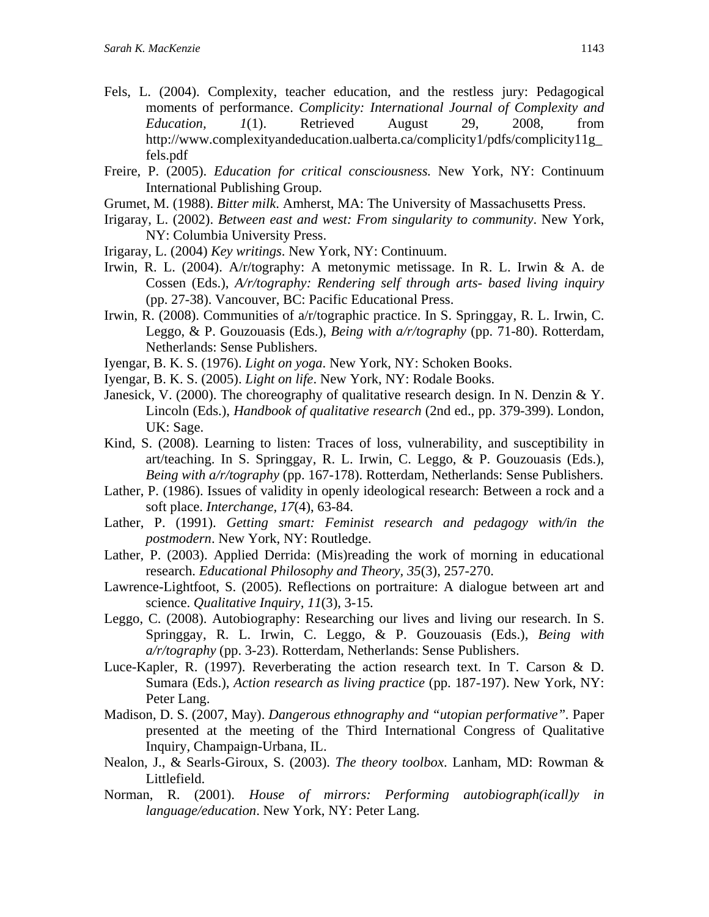- Fels, L. (2004). Complexity, teacher education, and the restless jury: Pedagogical moments of performance. *Complicity: International Journal of Complexity and Education, 1*(1). Retrieved August 29, 2008, from http://www.complexityandeducation.ualberta.ca/complicity1/pdfs/complicity11g\_ fels.pdf
- Freire, P. (2005). *Education for critical consciousness.* New York, NY: Continuum International Publishing Group.
- Grumet, M. (1988). *Bitter milk*. Amherst, MA: The University of Massachusetts Press.
- Irigaray, L. (2002). *Between east and west: From singularity to community*. New York, NY: Columbia University Press.
- Irigaray, L. (2004) *Key writings*. New York, NY: Continuum.
- Irwin, R. L. (2004). A/r/tography: A metonymic metissage. In R. L. Irwin & A. de Cossen (Eds.), *A/r/tography: Rendering self through arts- based living inquiry*  (pp. 27-38). Vancouver, BC: Pacific Educational Press.
- Irwin, R. (2008). Communities of a/r/tographic practice. In S. Springgay, R. L. Irwin, C. Leggo, & P. Gouzouasis (Eds.), *Being with a/r/tography* (pp. 71-80). Rotterdam, Netherlands: Sense Publishers.
- Iyengar, B. K. S. (1976). *Light on yoga*. New York, NY: Schoken Books.
- Iyengar, B. K. S. (2005). *Light on life*. New York, NY: Rodale Books.
- Janesick, V. (2000). The choreography of qualitative research design. In N. Denzin & Y. Lincoln (Eds.), *Handbook of qualitative research* (2nd ed., pp. 379-399). London, UK: Sage.
- Kind, S. (2008). Learning to listen: Traces of loss, vulnerability, and susceptibility in art/teaching. In S. Springgay, R. L. Irwin, C. Leggo, & P. Gouzouasis (Eds.), *Being with a/r/tography* (pp. 167-178). Rotterdam, Netherlands: Sense Publishers.
- Lather, P. (1986). Issues of validity in openly ideological research: Between a rock and a soft place. *Interchange, 17*(4), 63-84.
- Lather, P. (1991). *Getting smart: Feminist research and pedagogy with/in the postmodern*. New York, NY: Routledge.
- Lather, P. (2003). Applied Derrida: (Mis)reading the work of morning in educational research. *Educational Philosophy and Theory, 35*(3), 257-270.
- Lawrence-Lightfoot, S. (2005). Reflections on portraiture: A dialogue between art and science. *Qualitative Inquiry, 11*(3), 3-15.
- Leggo, C. (2008). Autobiography: Researching our lives and living our research. In S. Springgay, R. L. Irwin, C. Leggo, & P. Gouzouasis (Eds.), *Being with a/r/tography* (pp. 3-23). Rotterdam, Netherlands: Sense Publishers.
- Luce-Kapler, R. (1997). Reverberating the action research text. In T. Carson & D. Sumara (Eds.), *Action research as living practice* (pp. 187-197). New York, NY: Peter Lang.
- Madison, D. S. (2007, May). *Dangerous ethnography and "utopian performative".* Paper presented at the meeting of the Third International Congress of Qualitative Inquiry, Champaign-Urbana, IL.
- Nealon, J., & Searls-Giroux, S. (2003). *The theory toolbox*. Lanham, MD: Rowman & Littlefield.
- Norman, R. (2001). *House of mirrors: Performing autobiograph(icall)y in language/education*. New York, NY: Peter Lang.